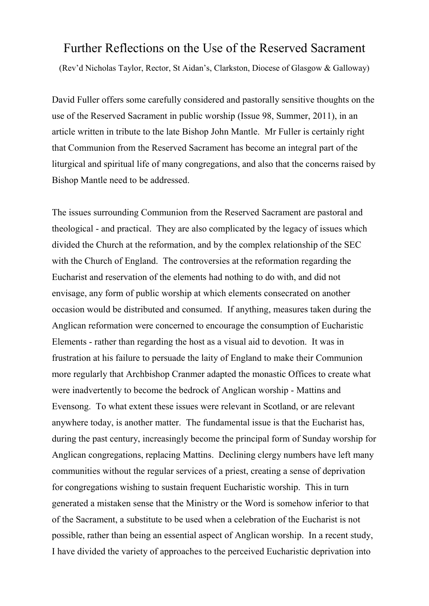## Further Reflections on the Use of the Reserved Sacrament

(Rev'd Nicholas Taylor, Rector, St Aidan's, Clarkston, Diocese of Glasgow & Galloway)

David Fuller offers some carefully considered and pastorally sensitive thoughts on the use of the Reserved Sacrament in public worship (Issue 98, Summer, 2011), in an article written in tribute to the late Bishop John Mantle. Mr Fuller is certainly right that Communion from the Reserved Sacrament has become an integral part of the liturgical and spiritual life of many congregations, and also that the concerns raised by Bishop Mantle need to be addressed.

The issues surrounding Communion from the Reserved Sacrament are pastoral and theological - and practical. They are also complicated by the legacy of issues which divided the Church at the reformation, and by the complex relationship of the SEC with the Church of England. The controversies at the reformation regarding the Eucharist and reservation of the elements had nothing to do with, and did not envisage, any form of public worship at which elements consecrated on another occasion would be distributed and consumed. If anything, measures taken during the Anglican reformation were concerned to encourage the consumption of Eucharistic Elements - rather than regarding the host as a visual aid to devotion. It was in frustration at his failure to persuade the laity of England to make their Communion more regularly that Archbishop Cranmer adapted the monastic Offices to create what were inadvertently to become the bedrock of Anglican worship - Mattins and Evensong. To what extent these issues were relevant in Scotland, or are relevant anywhere today, is another matter. The fundamental issue is that the Eucharist has, during the past century, increasingly become the principal form of Sunday worship for Anglican congregations, replacing Mattins. Declining clergy numbers have left many communities without the regular services of a priest, creating a sense of deprivation for congregations wishing to sustain frequent Eucharistic worship. This in turn generated a mistaken sense that the Ministry or the Word is somehow inferior to that of the Sacrament, a substitute to be used when a celebration of the Eucharist is not possible, rather than being an essential aspect of Anglican worship. In a recent study, I have divided the variety of approaches to the perceived Eucharistic deprivation into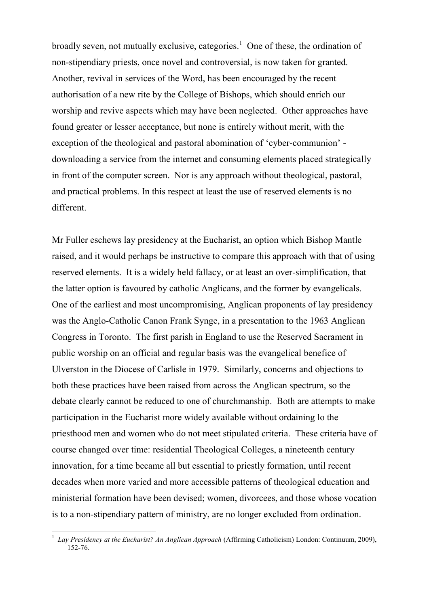broadly seven, not mutually exclusive, categories.<sup>1</sup> One of these, the ordination of non-stipendiary priests, once novel and controversial, is now taken for granted. Another, revival in services of the Word, has been encouraged by the recent authorisation of a new rite by the College of Bishops, which should enrich our worship and revive aspects which may have been neglected. Other approaches have found greater or lesser acceptance, but none is entirely without merit, with the exception of the theological and pastoral abomination of 'cyber-communion' downloading a service from the internet and consuming elements placed strategically in front of the computer screen. Nor is any approach without theological, pastoral, and practical problems. In this respect at least the use of reserved elements is no different.

Mr Fuller eschews lay presidency at the Eucharist, an option which Bishop Mantle raised, and it would perhaps be instructive to compare this approach with that of using reserved elements. It is a widely held fallacy, or at least an over-simplification, that the latter option is favoured by catholic Anglicans, and the former by evangelicals. One of the earliest and most uncompromising, Anglican proponents of lay presidency was the Anglo-Catholic Canon Frank Synge, in a presentation to the 1963 Anglican Congress in Toronto. The first parish in England to use the Reserved Sacrament in public worship on an official and regular basis was the evangelical benefice of Ulverston in the Diocese of Carlisle in 1979. Similarly, concerns and objections to both these practices have been raised from across the Anglican spectrum, so the debate clearly cannot be reduced to one of churchmanship. Both are attempts to make participation in the Eucharist more widely available without ordaining lo the priesthood men and women who do not meet stipulated criteria. These criteria have of course changed over time: residential Theological Colleges, a nineteenth century innovation, for a time became all but essential to priestly formation, until recent decades when more varied and more accessible patterns of theological education and ministerial formation have been devised; women, divorcees, and those whose vocation is to a non-stipendiary pattern of ministry, are no longer excluded from ordination.

1

<sup>&</sup>lt;sup>1</sup> Lay Presidency at the Eucharist? An Anglican Approach (Affirming Catholicism) London: Continuum, 2009), 152-76.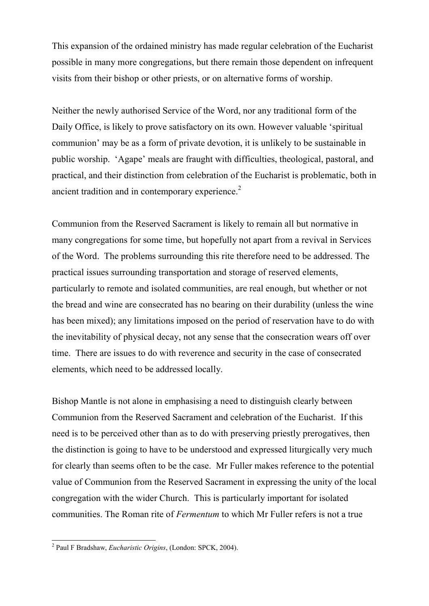This expansion of the ordained ministry has made regular celebration of the Eucharist possible in many more congregations, but there remain those dependent on infrequent visits from their bishop or other priests, or on alternative forms of worship.

Neither the newly authorised Service of the Word, nor any traditional form of the Daily Office, is likely to prove satisfactory on its own. However valuable 'spiritual communion' may be as a form of private devotion, it is unlikely to be sustainable in public worship. 'Agape' meals are fraught with difficulties, theological, pastoral, and practical, and their distinction from celebration of the Eucharist is problematic, both in ancient tradition and in contemporary experience.<sup>2</sup>

Communion from the Reserved Sacrament is likely to remain all but normative in many congregations for some time, but hopefully not apart from a revival in Services of the Word. The problems surrounding this rite therefore need to be addressed. The practical issues surrounding transportation and storage of reserved elements, particularly to remote and isolated communities, are real enough, but whether or not the bread and wine are consecrated has no bearing on their durability (unless the wine has been mixed); any limitations imposed on the period of reservation have to do with the inevitability of physical decay, not any sense that the consecration wears off over time. There are issues to do with reverence and security in the case of consecrated elements, which need to be addressed locally.

Bishop Mantle is not alone in emphasising a need to distinguish clearly between Communion from the Reserved Sacrament and celebration of the Eucharist. If this need is to be perceived other than as to do with preserving priestly prerogatives, then the distinction is going to have to be understood and expressed liturgically very much for clearly than seems often to be the case. Mr Fuller makes reference to the potential value of Communion from the Reserved Sacrament in expressing the unity of the local congregation with the wider Church. This is particularly important for isolated communities. The Roman rite of *Fermentum* to which Mr Fuller refers is not a true

 2 Paul F Bradshaw, *Eucharistic Origins*, (London: SPCK, 2004).